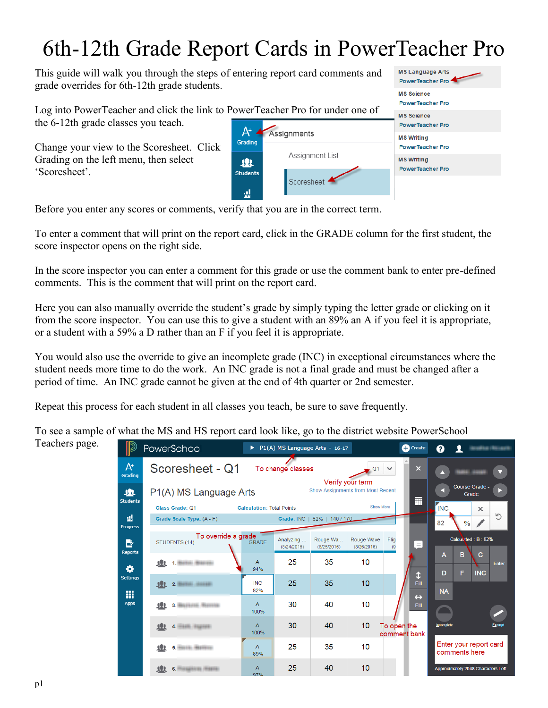## 6th-12th Grade Report Cards in PowerTeacher Pro

This guide will walk you through the steps of entering report card comments and grade overrides for 6th-12th grade students.

Log into PowerTeacher and click the link to P the 6-12th grade classes you teach.

Change your view to the Scoresheet. Click Grading on the left menu, then select 'Scoresheet'.

|                      | PowerTeacher Pro for under one of | <b>MS Science</b><br><b>PowerTeacher Pro</b>                                                 |  |  |
|----------------------|-----------------------------------|----------------------------------------------------------------------------------------------|--|--|
|                      |                                   | <b>MS Science</b><br><b>PowerTeacher Pro</b>                                                 |  |  |
| Grading              | Assignments                       | <b>MS Writing</b><br><b>PowerTeacher Pro</b><br><b>MS Writing</b><br><b>PowerTeacher Pro</b> |  |  |
| 塊<br><b>Students</b> | Assignment List                   |                                                                                              |  |  |
|                      | Scoresheet                        |                                                                                              |  |  |

**MS Language Arts** PowerTeacher Pro

Before you enter any scores or comments, verify that you are in the correct term.

To enter a comment that will print on the report card, click in the GRADE column for the first student, the score inspector opens on the right side.

In the score inspector you can enter a comment for this grade or use the comment bank to enter pre-defined comments. This is the comment that will print on the report card.

Here you can also manually override the student's grade by simply typing the letter grade or clicking on it from the score inspector. You can use this to give a student with an 89% an A if you feel it is appropriate, or a student with a 59% a D rather than an F if you feel it is appropriate.

You would also use the override to give an incomplete grade (INC) in exceptional circumstances where the student needs more time to do the work. An INC grade is not a final grade and must be changed after a period of time. An INC grade cannot be given at the end of 4th quarter or 2nd semester.

Repeat this process for each student in all classes you teach, be sure to save frequently.

To see a sample of what the MS and HS report card look like, go to the district website PowerSchool

Teachers page.

|                      | PowerSchool                                                                                                                   | ▶                                             |                          | P1(A) MS Language Arts - 16-17 |                           | <b>C</b> Create             |            |                                         |  |  |  |
|----------------------|-------------------------------------------------------------------------------------------------------------------------------|-----------------------------------------------|--------------------------|--------------------------------|---------------------------|-----------------------------|------------|-----------------------------------------|--|--|--|
| $A^*$<br>Grading     | Scoresheet - Q1                                                                                                               |                                               | To change classes        |                                | Q1                        | $\boldsymbol{\mathsf{x}}$   |            |                                         |  |  |  |
| 业<br><b>Students</b> | Verify your term<br><b>Course Grade -</b><br><b>Show Assignments from Most Recent</b><br>P1(A) MS Language Arts<br>Grade<br>丽 |                                               |                          |                                |                           |                             |            |                                         |  |  |  |
|                      | Class Grade: Q1                                                                                                               | Show More<br><b>Calculation: Total Points</b> |                          |                                |                           |                             |            |                                         |  |  |  |
| ᇓ<br><b>Progress</b> | Grade Scale Type: (A - F)                                                                                                     |                                               |                          | Grade: INC   82%   140 / 170   |                           |                             | 82         | Ь<br>$\frac{0}{0}$                      |  |  |  |
| B<br><b>Reports</b>  | To override a grade<br>STUDENTS (14)                                                                                          | <b>GRADE</b>                                  | Analyzing<br>(8/24/2016) | Rouge Wa<br>(8/25/2016)        | Rouge Wave<br>(8/26/2016) | Flig<br>∙⊜⊧<br>(9)          |            | Calculated: B: 82%                      |  |  |  |
| ٠                    | <b>Button Brasilei</b><br>Æ                                                                                                   | $\overline{A}$<br>94%                         | 25                       | 35                             | 10                        | $\mathbf{r}$                | A<br>D     | B<br>c<br>Enter<br>F<br><b>INC</b>      |  |  |  |
| <b>Settings</b><br>冊 | 2. SHING HOLDER<br>39R                                                                                                        | <b>INC</b><br>82%                             | 25                       | 35                             | 10                        | Fill                        | <b>NA</b>  |                                         |  |  |  |
| <b>Apps</b>          | 3. BUILDING BUILDING<br>业                                                                                                     | A<br>100%                                     | 30                       | 40                             | 10                        | $\leftrightarrow$<br>Fill   |            |                                         |  |  |  |
|                      | 业<br>4. HAND HILLINGS                                                                                                         | $\overline{A}$<br>100%                        | 30                       | 40                             | 10                        | To open the<br>comment bank | Incomplete | <b>Exempt</b>                           |  |  |  |
|                      | 5. HOUR BOSTON<br>业                                                                                                           | A<br>89%                                      | 25                       | 35                             | 10                        |                             |            | Enter your report card<br>comments here |  |  |  |
|                      | 理<br>6.<br><b>HARRIOGE / ROBERTAL</b>                                                                                         | A<br>97%                                      | 25                       | 40                             | 10                        |                             |            | Approximately 2048 Characters Left      |  |  |  |